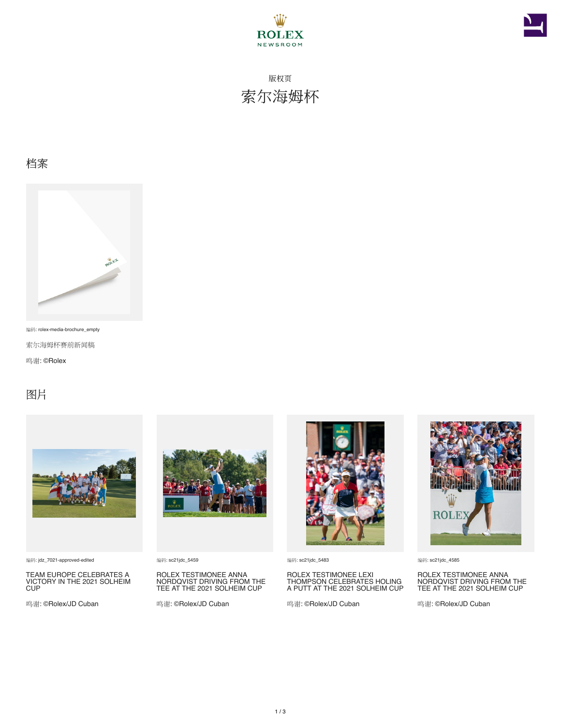



版权页 索尔海姆杯

#### 档案



编码: rolex-media-brochure\_empty

索尔海姆杯赛前新闻稿

鸣谢: ©Rolex

### 图片



编码: jdz\_7021-approved-edited

TEAM EUROPE CELEBRATES A VICTORY IN THE 2021 SOLHEIM CUP

鸣谢: ©Rolex/JD Cuban



编码: sc21jdc\_5459

ROLEX TESTIMONEE ANNA NORDQVIST DRIVING FROM THE TEE AT THE 2021 SOLHEIM CUP

鸣谢: ©Rolex/JD Cuban



编码: sc21jdc\_5483

ROLEX TESTIMONEE LEXI THOMPSON CELEBRATES HOLING A PUTT AT THE 2021 SOLHEIM CUP

鸣谢: ©Rolex/JD Cuban



编码: sc21jdc\_4585

ROLEX TESTIMONEE ANNA NORDQVIST DRIVING FROM THE TEE AT THE 2021 SOLHEIM CUP

鸣谢: ©Rolex/JD Cuban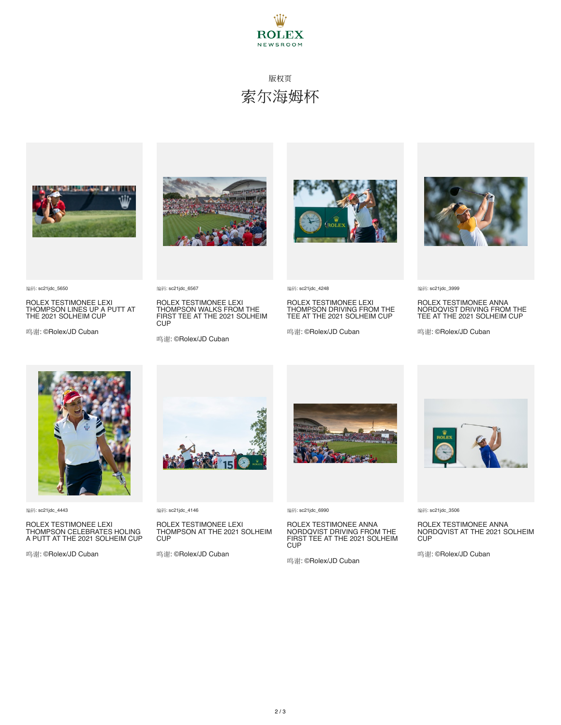

## 版权页 索尔海姆杯



ROLEX TESTIMONEE LEXI THOMPSON LINES UP A PUTT AT THE 2021 SOLHEIM CUP

鸣谢: ©Rolex/JD Cuban

ROLEX TESTIMONEE LEXI THOMPSON WALKS FROM THE FIRST TEE AT THE 2021 SOLHEIM

鸣谢: ©Rolex/JD Cuban

编码: sc21jdc\_6567

**CUP** 



编码: sc21jdc\_4248

ROLEX TESTIMONEE LEXI THOMPSON DRIVING FROM THE TEE AT THE 2021 SOLHEIM CUP

鸣谢: ©Rolex/JD Cuban



编码: sc21jdc\_3999

ROLEX TESTIMONEE ANNA NORDQVIST DRIVING FROM THE TEE AT THE 2021 SOLHEIM CUP

鸣谢: ©Rolex/JD Cuban



编码: sc21jdc\_4443

编码: sc21jdc\_5650

ROLEX TESTIMONEE LEXI THOMPSON CELEBRATES HOLING A PUTT AT THE 2021 SOLHEIM CUP

鸣谢: ©Rolex/JD Cuban



编码: sc21jdc\_4146

#### ROLEX TESTIMONEE LEXI THOMPSON AT THE 2021 SOLHEIM CUP

鸣谢: ©Rolex/JD Cuban



编码: sc21jdc\_6990

ROLEX TESTIMONEE ANNA NORDQVIST DRIVING FROM THE FIRST TEE AT THE 2021 SOLHEIM **CUP** 

鸣谢: ©Rolex/JD Cuban



编码: sc21jdc\_3506

ROLEX TESTIMONEE ANNA NORDQVIST AT THE 2021 SOLHEIM **CUP** 

鸣谢: ©Rolex/JD Cuban



2 / 3